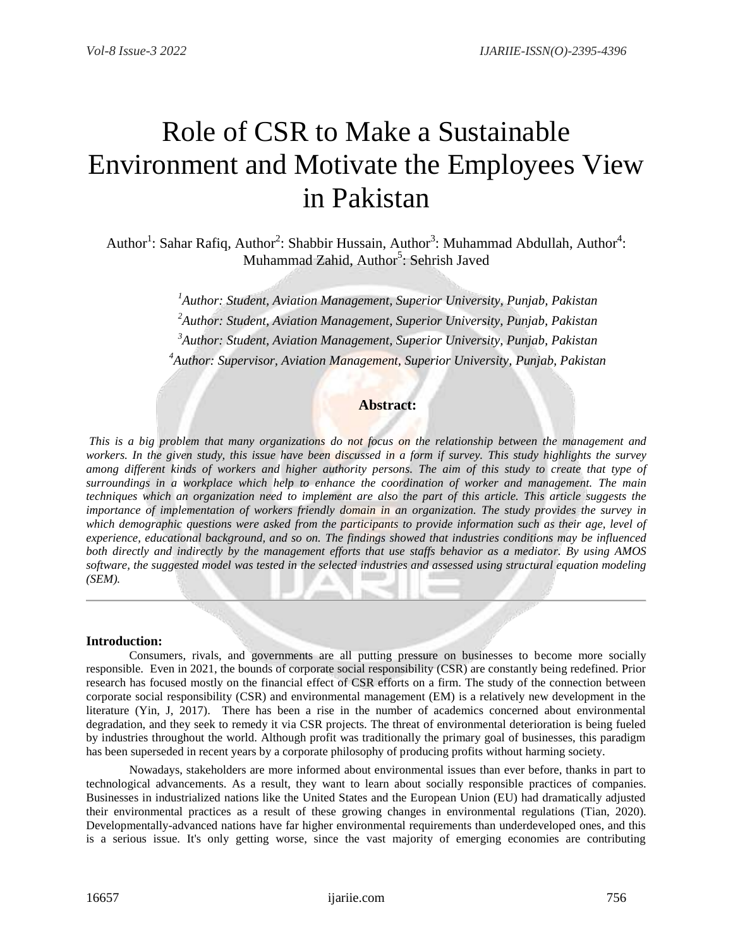# Role of CSR to Make a Sustainable Environment and Motivate the Employees View in Pakistan

Author<sup>1</sup>: Sahar Rafiq, Author<sup>2</sup>: Shabbir Hussain, Author<sup>3</sup>: Muhammad Abdullah, Author<sup>4</sup>: Muhammad Zahid, Author<sup>5</sup>: Sehrish Javed

> *Author: Student, Aviation Management, Superior University, Punjab, Pakistan Author: Student, Aviation Management, Superior University, Punjab, Pakistan Author: Student, Aviation Management, Superior University, Punjab, Pakistan Author: Supervisor, Aviation Management, Superior University, Punjab, Pakistan*

# **Abstract:**

*This is a big problem that many organizations do not focus on the relationship between the management and workers. In the given study, this issue have been discussed in a form if survey. This study highlights the survey among different kinds of workers and higher authority persons. The aim of this study to create that type of surroundings in a workplace which help to enhance the coordination of worker and management. The main techniques which an organization need to implement are also the part of this article. This article suggests the importance of implementation of workers friendly domain in an organization. The study provides the survey in which demographic questions were asked from the participants to provide information such as their age, level of experience, educational background, and so on. The findings showed that industries conditions may be influenced both directly and indirectly by the management efforts that use staffs behavior as a mediator. By using AMOS software, the suggested model was tested in the selected industries and assessed using structural equation modeling (SEM).*

#### **Introduction:**

Consumers, rivals, and governments are all putting pressure on businesses to become more socially responsible. Even in 2021, the bounds of corporate social responsibility (CSR) are constantly being redefined. Prior research has focused mostly on the financial effect of CSR efforts on a firm. The study of the connection between corporate social responsibility (CSR) and environmental management (EM) is a relatively new development in the literature (Yin, J, 2017). There has been a rise in the number of academics concerned about environmental degradation, and they seek to remedy it via CSR projects. The threat of environmental deterioration is being fueled by industries throughout the world. Although profit was traditionally the primary goal of businesses, this paradigm has been superseded in recent years by a corporate philosophy of producing profits without harming society.

Nowadays, stakeholders are more informed about environmental issues than ever before, thanks in part to technological advancements. As a result, they want to learn about socially responsible practices of companies. Businesses in industrialized nations like the United States and the European Union (EU) had dramatically adjusted their environmental practices as a result of these growing changes in environmental regulations (Tian, 2020). Developmentally-advanced nations have far higher environmental requirements than underdeveloped ones, and this is a serious issue. It's only getting worse, since the vast majority of emerging economies are contributing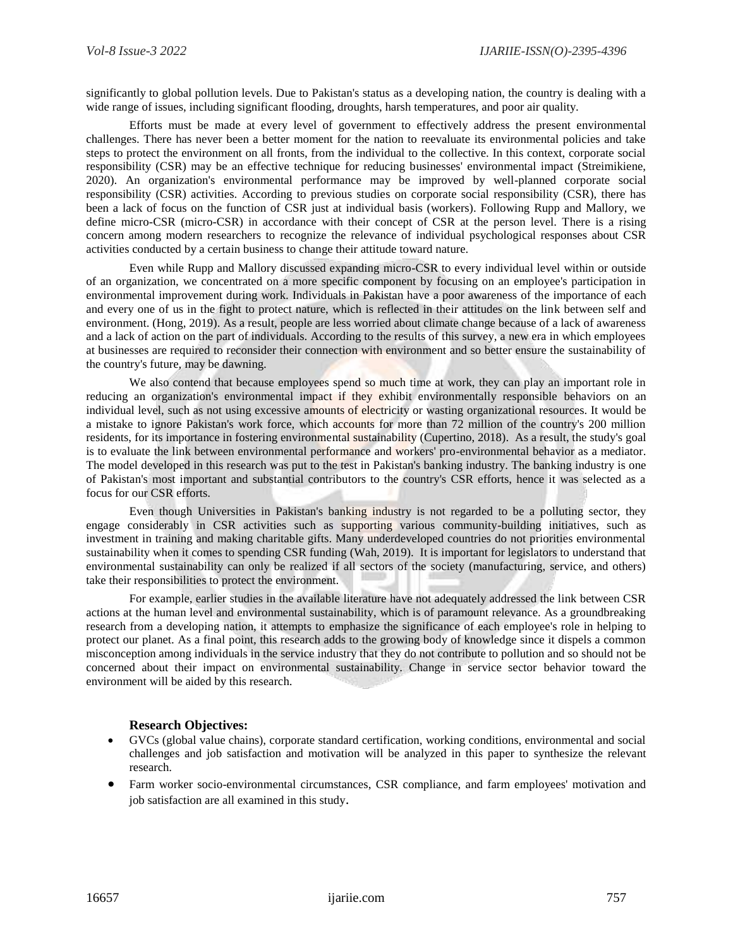significantly to global pollution levels. Due to Pakistan's status as a developing nation, the country is dealing with a wide range of issues, including significant flooding, droughts, harsh temperatures, and poor air quality.

Efforts must be made at every level of government to effectively address the present environmental challenges. There has never been a better moment for the nation to reevaluate its environmental policies and take steps to protect the environment on all fronts, from the individual to the collective. In this context, corporate social responsibility (CSR) may be an effective technique for reducing businesses' environmental impact (Streimikiene, 2020). An organization's environmental performance may be improved by well-planned corporate social responsibility (CSR) activities. According to previous studies on corporate social responsibility (CSR), there has been a lack of focus on the function of CSR just at individual basis (workers). Following Rupp and Mallory, we define micro-CSR (micro-CSR) in accordance with their concept of CSR at the person level. There is a rising concern among modern researchers to recognize the relevance of individual psychological responses about CSR activities conducted by a certain business to change their attitude toward nature.

Even while Rupp and Mallory discussed expanding micro-CSR to every individual level within or outside of an organization, we concentrated on a more specific component by focusing on an employee's participation in environmental improvement during work. Individuals in Pakistan have a poor awareness of the importance of each and every one of us in the fight to protect nature, which is reflected in their attitudes on the link between self and environment. (Hong, 2019). As a result, people are less worried about climate change because of a lack of awareness and a lack of action on the part of individuals. According to the results of this survey, a new era in which employees at businesses are required to reconsider their connection with environment and so better ensure the sustainability of the country's future, may be dawning.

We also contend that because employees spend so much time at work, they can play an important role in reducing an organization's environmental impact if they exhibit environmentally responsible behaviors on an individual level, such as not using excessive amounts of electricity or wasting organizational resources. It would be a mistake to ignore Pakistan's work force, which accounts for more than 72 million of the country's 200 million residents, for its importance in fostering environmental sustainability (Cupertino, 2018). As a result, the study's goal is to evaluate the link between environmental performance and workers' pro-environmental behavior as a mediator. The model developed in this research was put to the test in Pakistan's banking industry. The banking industry is one of Pakistan's most important and substantial contributors to the country's CSR efforts, hence it was selected as a focus for our CSR efforts.

Even though Universities in Pakistan's banking industry is not regarded to be a polluting sector, they engage considerably in CSR activities such as supporting various community-building initiatives, such as investment in training and making charitable gifts. Many underdeveloped countries do not priorities environmental sustainability when it comes to spending CSR funding (Wah, 2019). It is important for legislators to understand that environmental sustainability can only be realized if all sectors of the society (manufacturing, service, and others) take their responsibilities to protect the environment.

For example, earlier studies in the available literature have not adequately addressed the link between CSR actions at the human level and environmental sustainability, which is of paramount relevance. As a groundbreaking research from a developing nation, it attempts to emphasize the significance of each employee's role in helping to protect our planet. As a final point, this research adds to the growing body of knowledge since it dispels a common misconception among individuals in the service industry that they do not contribute to pollution and so should not be concerned about their impact on environmental sustainability. Change in service sector behavior toward the environment will be aided by this research.

#### **Research Objectives:**

- GVCs (global value chains), corporate standard certification, working conditions, environmental and social challenges and job satisfaction and motivation will be analyzed in this paper to synthesize the relevant research.
- Farm worker socio-environmental circumstances, CSR compliance, and farm employees' motivation and job satisfaction are all examined in this study.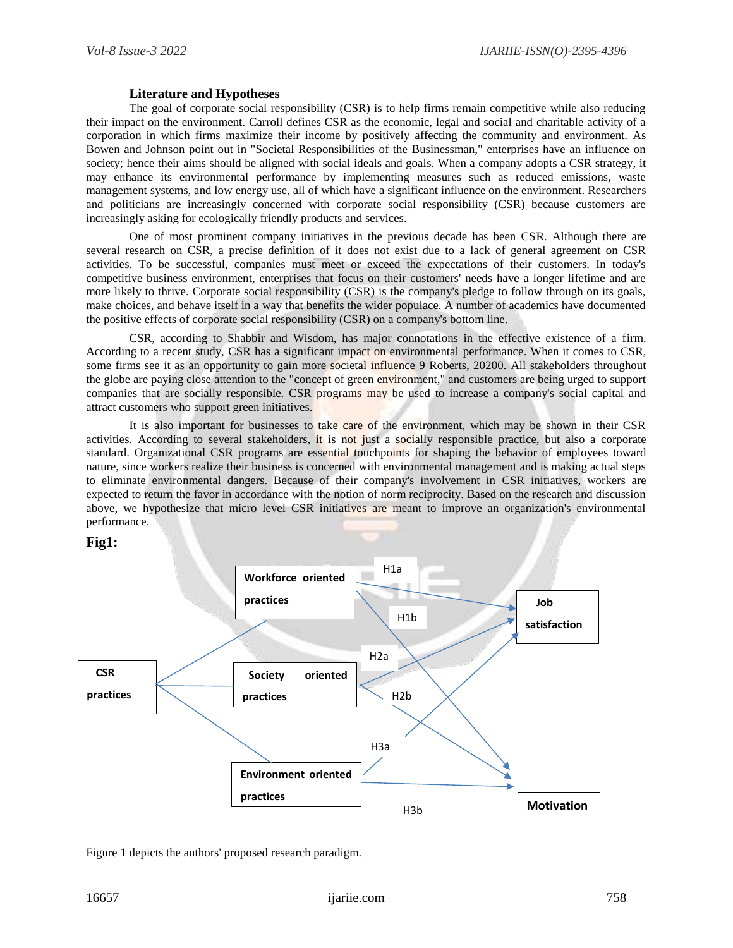## **Literature and Hypotheses**

The goal of corporate social responsibility (CSR) is to help firms remain competitive while also reducing their impact on the environment. Carroll defines CSR as the economic, legal and social and charitable activity of a corporation in which firms maximize their income by positively affecting the community and environment. As Bowen and Johnson point out in "Societal Responsibilities of the Businessman," enterprises have an influence on society; hence their aims should be aligned with social ideals and goals. When a company adopts a CSR strategy, it may enhance its environmental performance by implementing measures such as reduced emissions, waste management systems, and low energy use, all of which have a significant influence on the environment. Researchers and politicians are increasingly concerned with corporate social responsibility (CSR) because customers are increasingly asking for ecologically friendly products and services.

One of most prominent company initiatives in the previous decade has been CSR. Although there are several research on CSR, a precise definition of it does not exist due to a lack of general agreement on CSR activities. To be successful, companies must meet or exceed the expectations of their customers. In today's competitive business environment, enterprises that focus on their customers' needs have a longer lifetime and are more likely to thrive. Corporate social responsibility (CSR) is the company's pledge to follow through on its goals, make choices, and behave itself in a way that benefits the wider populace. A number of academics have documented the positive effects of corporate social responsibility (CSR) on a company's bottom line.

CSR, according to Shabbir and Wisdom, has major connotations in the effective existence of a firm. According to a recent study, CSR has a significant impact on environmental performance. When it comes to CSR, some firms see it as an opportunity to gain more societal influence 9 Roberts, 20200. All stakeholders throughout the globe are paying close attention to the "concept of green environment," and customers are being urged to support companies that are socially responsible. CSR programs may be used to increase a company's social capital and attract customers who support green initiatives.

It is also important for businesses to take care of the environment, which may be shown in their CSR activities. According to several stakeholders, it is not just a socially responsible practice, but also a corporate standard. Organizational CSR programs are essential touchpoints for shaping the behavior of employees toward nature, since workers realize their business is concerned with environmental management and is making actual steps to eliminate environmental dangers. Because of their company's involvement in CSR initiatives, workers are expected to return the favor in accordance with the notion of norm reciprocity. Based on the research and discussion above, we hypothesize that micro level CSR initiatives are meant to improve an organization's environmental performance.



Figure 1 depicts the authors' proposed research paradigm.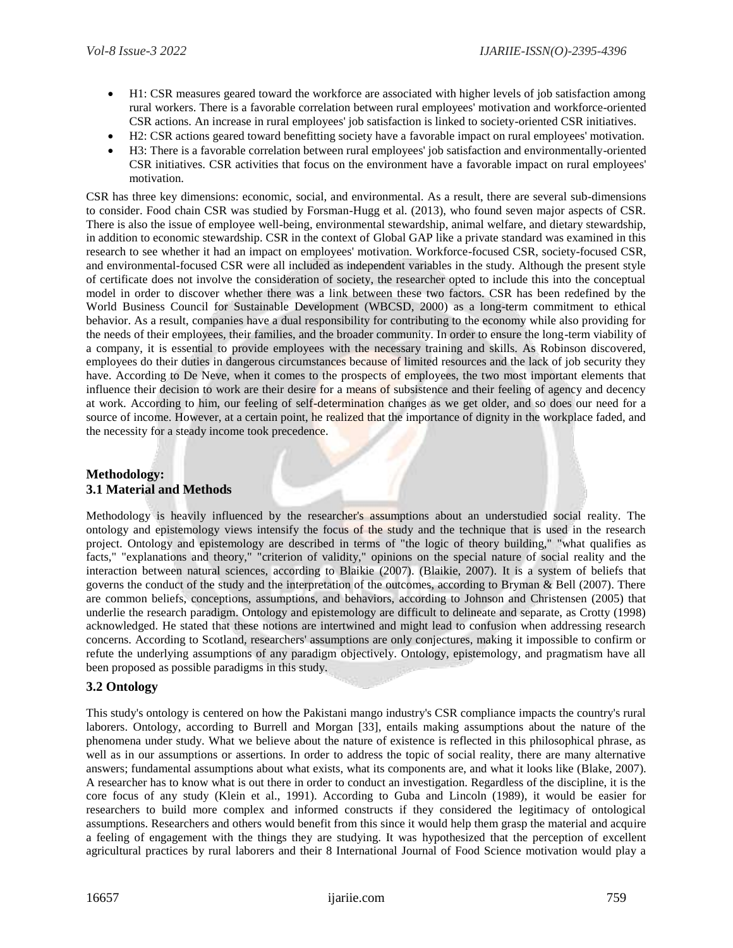- H1: CSR measures geared toward the workforce are associated with higher levels of job satisfaction among rural workers. There is a favorable correlation between rural employees' motivation and workforce-oriented CSR actions. An increase in rural employees' job satisfaction is linked to society-oriented CSR initiatives.
- H2: CSR actions geared toward benefitting society have a favorable impact on rural employees' motivation.
- H3: There is a favorable correlation between rural employees' job satisfaction and environmentally-oriented CSR initiatives. CSR activities that focus on the environment have a favorable impact on rural employees' motivation.

CSR has three key dimensions: economic, social, and environmental. As a result, there are several sub-dimensions to consider. Food chain CSR was studied by Forsman-Hugg et al. (2013), who found seven major aspects of CSR. There is also the issue of employee well-being, environmental stewardship, animal welfare, and dietary stewardship, in addition to economic stewardship. CSR in the context of Global GAP like a private standard was examined in this research to see whether it had an impact on employees' motivation. Workforce-focused CSR, society-focused CSR, and environmental-focused CSR were all included as independent variables in the study. Although the present style of certificate does not involve the consideration of society, the researcher opted to include this into the conceptual model in order to discover whether there was a link between these two factors. CSR has been redefined by the World Business Council for Sustainable Development (WBCSD, 2000) as a long-term commitment to ethical behavior. As a result, companies have a dual responsibility for contributing to the economy while also providing for the needs of their employees, their families, and the broader community. In order to ensure the long-term viability of a company, it is essential to provide employees with the necessary training and skills. As Robinson discovered, employees do their duties in dangerous circumstances because of limited resources and the lack of job security they have. According to De Neve, when it comes to the prospects of employees, the two most important elements that influence their decision to work are their desire for a means of subsistence and their feeling of agency and decency at work. According to him, our feeling of self-determination changes as we get older, and so does our need for a source of income. However, at a certain point, he realized that the importance of dignity in the workplace faded, and the necessity for a steady income took precedence.

## **Methodology: 3.1 Material and Methods**

Methodology is heavily influenced by the researcher's assumptions about an understudied social reality. The ontology and epistemology views intensify the focus of the study and the technique that is used in the research project. Ontology and epistemology are described in terms of "the logic of theory building," "what qualifies as facts," "explanations and theory," "criterion of validity," opinions on the special nature of social reality and the interaction between natural sciences, according to Blaikie (2007). (Blaikie, 2007). It is a system of beliefs that governs the conduct of the study and the interpretation of the outcomes, according to Bryman & Bell (2007). There are common beliefs, conceptions, assumptions, and behaviors, according to Johnson and Christensen (2005) that underlie the research paradigm. Ontology and epistemology are difficult to delineate and separate, as Crotty (1998) acknowledged. He stated that these notions are intertwined and might lead to confusion when addressing research concerns. According to Scotland, researchers' assumptions are only conjectures, making it impossible to confirm or refute the underlying assumptions of any paradigm objectively. Ontology, epistemology, and pragmatism have all been proposed as possible paradigms in this study.

## **3.2 Ontology**

This study's ontology is centered on how the Pakistani mango industry's CSR compliance impacts the country's rural laborers. Ontology, according to Burrell and Morgan [33], entails making assumptions about the nature of the phenomena under study. What we believe about the nature of existence is reflected in this philosophical phrase, as well as in our assumptions or assertions. In order to address the topic of social reality, there are many alternative answers; fundamental assumptions about what exists, what its components are, and what it looks like (Blake, 2007). A researcher has to know what is out there in order to conduct an investigation. Regardless of the discipline, it is the core focus of any study (Klein et al., 1991). According to Guba and Lincoln (1989), it would be easier for researchers to build more complex and informed constructs if they considered the legitimacy of ontological assumptions. Researchers and others would benefit from this since it would help them grasp the material and acquire a feeling of engagement with the things they are studying. It was hypothesized that the perception of excellent agricultural practices by rural laborers and their 8 International Journal of Food Science motivation would play a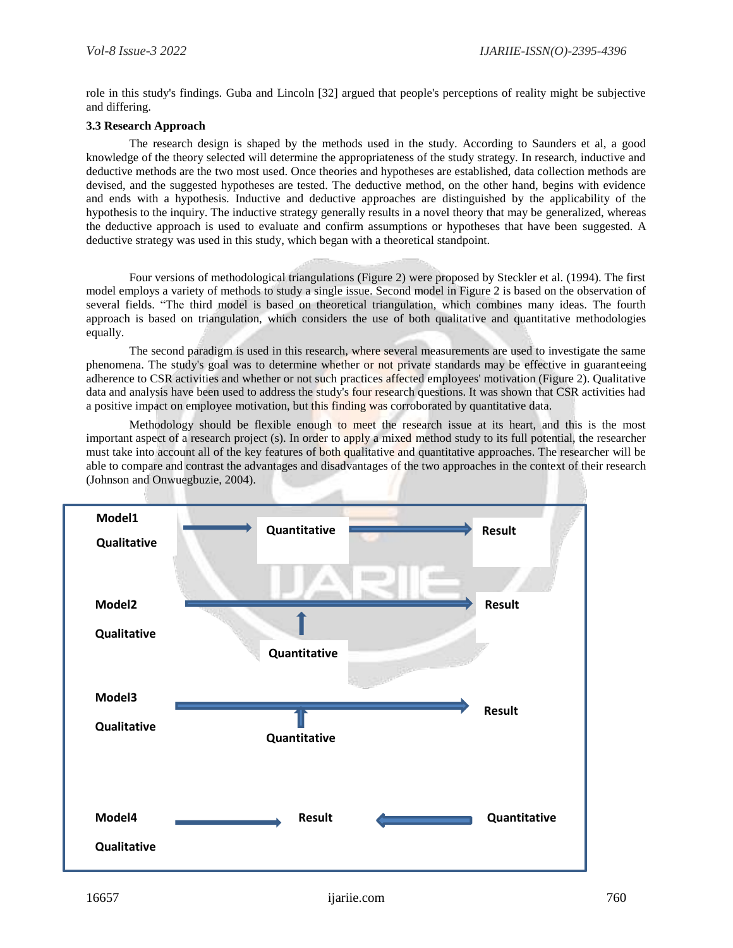role in this study's findings. Guba and Lincoln [32] argued that people's perceptions of reality might be subjective and differing.

#### **3.3 Research Approach**

The research design is shaped by the methods used in the study. According to Saunders et al, a good knowledge of the theory selected will determine the appropriateness of the study strategy. In research, inductive and deductive methods are the two most used. Once theories and hypotheses are established, data collection methods are devised, and the suggested hypotheses are tested. The deductive method, on the other hand, begins with evidence and ends with a hypothesis. Inductive and deductive approaches are distinguished by the applicability of the hypothesis to the inquiry. The inductive strategy generally results in a novel theory that may be generalized, whereas the deductive approach is used to evaluate and confirm assumptions or hypotheses that have been suggested. A deductive strategy was used in this study, which began with a theoretical standpoint.

Four versions of methodological triangulations (Figure 2) were proposed by Steckler et al. (1994). The first model employs a variety of methods to study a single issue. Second model in Figure 2 is based on the observation of several fields. "The third model is based on theoretical triangulation, which combines many ideas. The fourth approach is based on triangulation, which considers the use of both qualitative and quantitative methodologies equally.

The second paradigm is used in this research, where several measurements are used to investigate the same phenomena. The study's goal was to determine whether or not private standards may be effective in guaranteeing adherence to CSR activities and whether or not such practices affected employees' motivation (Figure 2). Qualitative data and analysis have been used to address the study's four research questions. It was shown that CSR activities had a positive impact on employee motivation, but this finding was corroborated by quantitative data.

Methodology should be flexible enough to meet the research issue at its heart, and this is the most important aspect of a research project (s). In order to apply a mixed method study to its full potential, the researcher must take into account all of the key features of both qualitative and quantitative approaches. The researcher will be able to compare and contrast the advantages and disadvantages of the two approaches in the context of their research (Johnson and Onwuegbuzie, 2004).

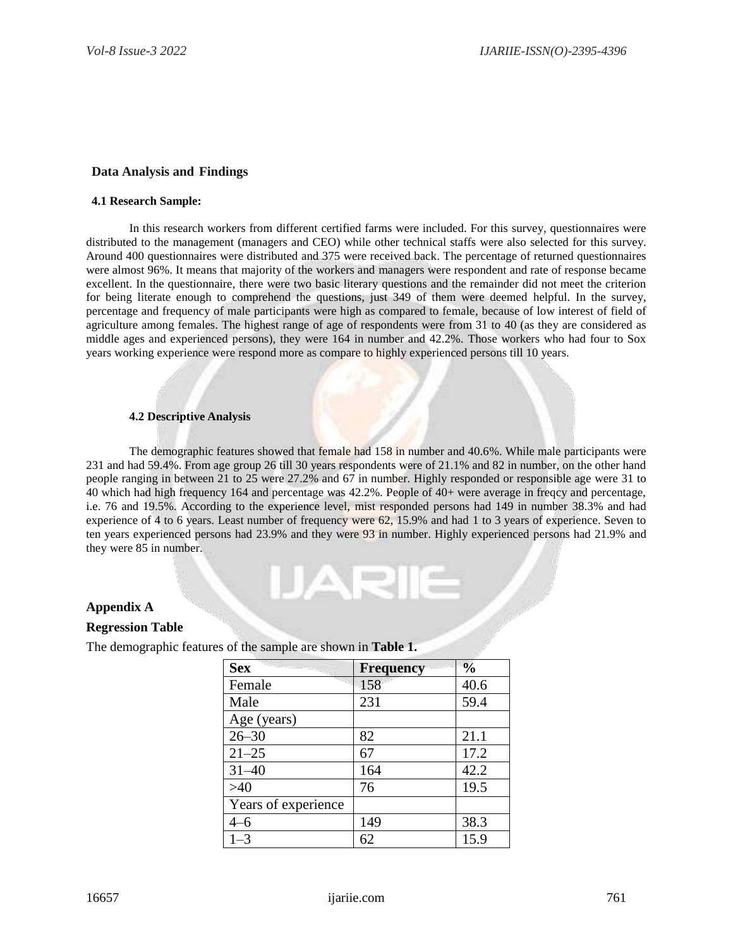### **Data Analysis and Findings**

#### **4.1 Research Sample:**

In this research workers from different certified farms were included. For this survey, questionnaires were distributed to the management (managers and CEO) while other technical staffs were also selected for this survey. Around 400 questionnaires were distributed and 375 were received back. The percentage of returned questionnaires were almost 96%. It means that majority of the workers and managers were respondent and rate of response became excellent. In the questionnaire, there were two basic literary questions and the remainder did not meet the criterion for being literate enough to comprehend the questions, just 349 of them were deemed helpful. In the survey, percentage and frequency of male participants were high as compared to female, because of low interest of field of agriculture among females. The highest range of age of respondents were from 31 to 40 (as they are considered as middle ages and experienced persons), they were 164 in number and 42.2%. Those workers who had four to Sox years working experience were respond more as compare to highly experienced persons till 10 years.

#### **4.2 Descriptive Analysis**

The demographic features showed that female had 158 in number and 40.6%. While male participants were 231 and had 59.4%. From age group 26 till 30 years respondents were of 21.1% and 82 in number, on the other hand people ranging in between 21 to 25 were 27.2% and 67 in number. Highly responded or responsible age were 31 to 40 which had high frequency 164 and percentage was 42.2%. People of 40+ were average in freqcy and percentage, i.e. 76 and 19.5%. According to the experience level, mist responded persons had 149 in number 38.3% and had experience of 4 to 6 years. Least number of frequency were 62, 15.9% and had 1 to 3 years of experience. Seven to ten years experienced persons had 23.9% and they were 93 in number. Highly experienced persons had 21.9% and they were 85 in number.

IARII

#### **Appendix A**

#### **Regression Table**

The demographic features of the sample are shown in **Table 1.**

| <b>Sex</b>          | <b>Frequency</b> | $\frac{0}{0}$ |
|---------------------|------------------|---------------|
| Female              | 158              | 40.6          |
| Male                | 231              | 59.4          |
| Age (years)         |                  |               |
| $26 - 30$           | 82               | 21.1          |
| $21 - 25$           | 67               | 17.2          |
| $31 - 40$           | 164              | 42.2          |
| >40                 | 76               | 19.5          |
| Years of experience |                  |               |
| 4–6                 | 149              | 38.3          |
| $1 - 3$             | 62               | 15.9          |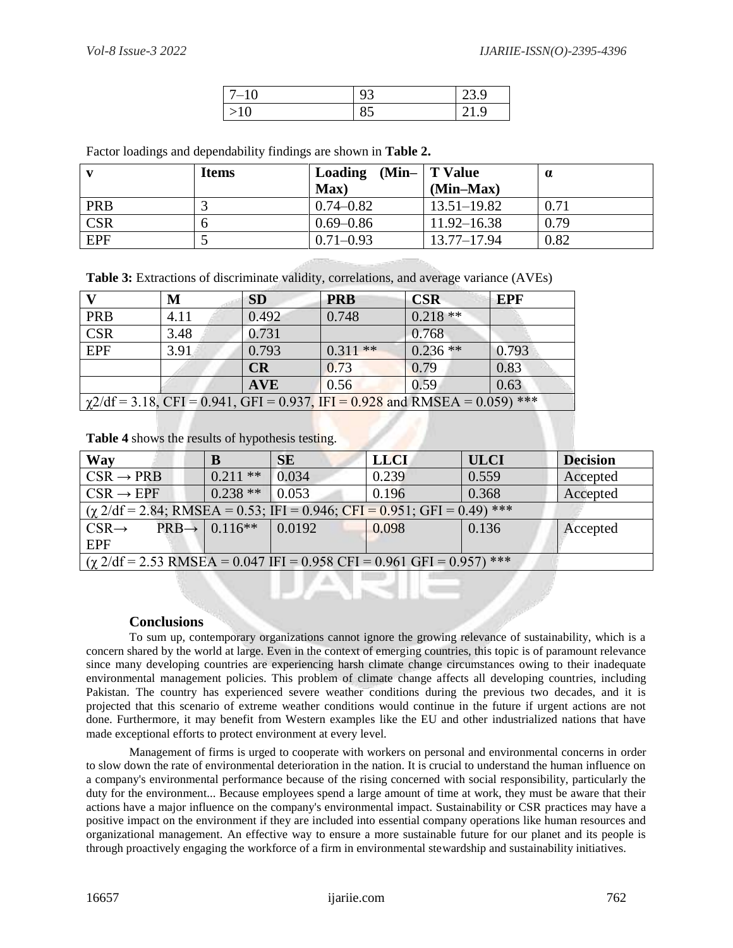| -10<br>' — | ر ر | 23 Q |
|------------|-----|------|
| 10         | റാ  | Q    |

Factor loadings and dependability findings are shown in **Table 2.**

|            | <b>Items</b> | Loading $(Min-$ T Value |                 |      |
|------------|--------------|-------------------------|-----------------|------|
|            |              | Max)                    | $(Min-Max)$     |      |
| PRB        |              | $0.74 - 0.82$           | $13.51 - 19.82$ | 0.71 |
| <b>CSR</b> |              | $0.69 - 0.86$           | $11.92 - 16.38$ | 0.79 |
| <b>EPF</b> |              | $0.71 - 0.93$           | $13.77 - 17.94$ | 0.82 |

**Table 3:** Extractions of discriminate validity, correlations, and average variance (AVEs)

|                                                                                    | M    | <b>SD</b>  | <b>PRB</b> | <b>CSR</b> | <b>EPF</b> |
|------------------------------------------------------------------------------------|------|------------|------------|------------|------------|
| <b>PRB</b>                                                                         | 4.11 | 0.492      | 0.748      | $0.218**$  |            |
| $\overline{\text{CSR}}$                                                            | 3.48 | 0.731      |            | 0.768      |            |
| <b>EPF</b>                                                                         | 3.91 | 0.793      | $0.311**$  | $0.236**$  | 0.793      |
|                                                                                    |      | CR         | 0.73       | 0.79       | 0.83       |
|                                                                                    |      | <b>AVE</b> | 0.56       | 0.59       | 0.63       |
| $\gamma$ 2/df = 3.18, CFI = 0.941, GFI = 0.937, IFI = 0.928 and RMSEA = 0.059) *** |      |            |            |            |            |

**Table 4** shows the results of hypothesis testing.

| <b>Way</b>                                                                                                 |                                       | <b>SE</b> | <b>LLCI</b> | <b>ULCI</b> | <b>Decision</b> |
|------------------------------------------------------------------------------------------------------------|---------------------------------------|-----------|-------------|-------------|-----------------|
| $CSR \rightarrow PRB$                                                                                      | $0.211$ **                            | 0.034     | 0.239       | 0.559       | Accepted        |
| $CSR \rightarrow EPF$                                                                                      | $0.238**$ 0.053                       |           | 0.196       | 0.368       | Accepted        |
| $\left( \frac{\gamma 2}{df} = 2.84; RMSEA = 0.53; IFI = 0.946; CFI = 0.951; GFI = 0.49 \right)$ ***        |                                       |           |             |             |                 |
| $CSR\rightarrow$                                                                                           | $PRB \rightarrow   0.116***   0.0192$ |           | 0.098       | 0.136       | Accepted        |
| <b>EPF</b>                                                                                                 |                                       |           |             |             |                 |
| $(\chi 2/df = 2.53 \text{ RMSEA} = 0.047 \text{ IFI} = 0.958 \text{ CFI} = 0.961 \text{ GFI} = 0.957)$ *** |                                       |           |             |             |                 |

## **Conclusions**

To sum up, contemporary organizations cannot ignore the growing relevance of sustainability, which is a concern shared by the world at large. Even in the context of emerging countries, this topic is of paramount relevance since many developing countries are experiencing harsh climate change circumstances owing to their inadequate environmental management policies. This problem of climate change affects all developing countries, including Pakistan. The country has experienced severe weather conditions during the previous two decades, and it is projected that this scenario of extreme weather conditions would continue in the future if urgent actions are not done. Furthermore, it may benefit from Western examples like the EU and other industrialized nations that have made exceptional efforts to protect environment at every level.

Management of firms is urged to cooperate with workers on personal and environmental concerns in order to slow down the rate of environmental deterioration in the nation. It is crucial to understand the human influence on a company's environmental performance because of the rising concerned with social responsibility, particularly the duty for the environment... Because employees spend a large amount of time at work, they must be aware that their actions have a major influence on the company's environmental impact. Sustainability or CSR practices may have a positive impact on the environment if they are included into essential company operations like human resources and organizational management. An effective way to ensure a more sustainable future for our planet and its people is through proactively engaging the workforce of a firm in environmental stewardship and sustainability initiatives.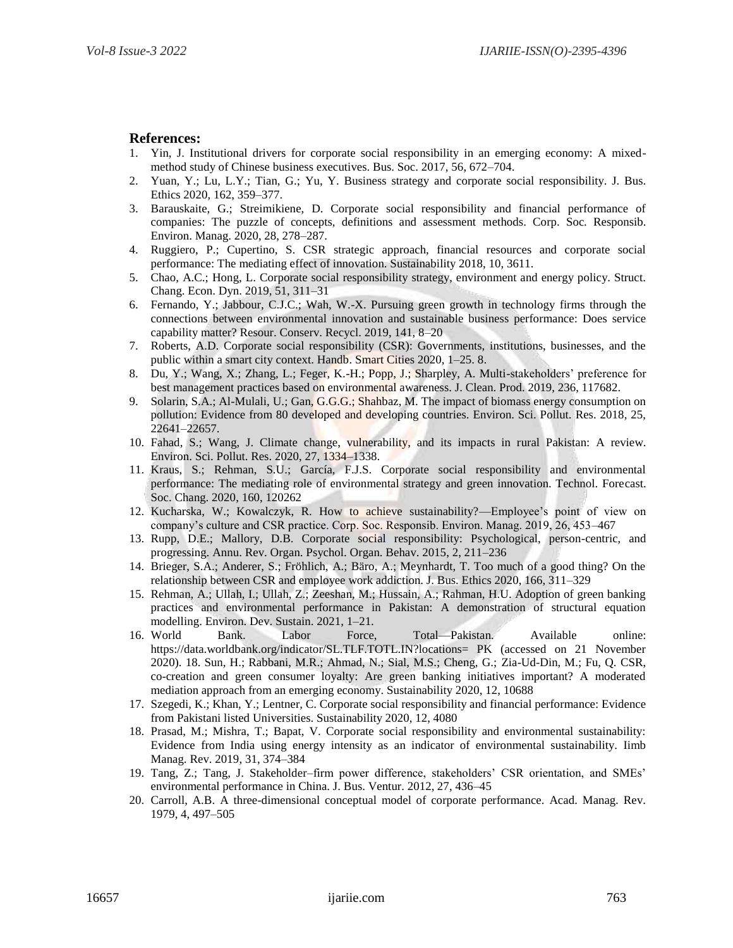### **References:**

- 1. Yin, J. Institutional drivers for corporate social responsibility in an emerging economy: A mixedmethod study of Chinese business executives. Bus. Soc. 2017, 56, 672–704.
- 2. Yuan, Y.; Lu, L.Y.; Tian, G.; Yu, Y. Business strategy and corporate social responsibility. J. Bus. Ethics 2020, 162, 359–377.
- 3. Barauskaite, G.; Streimikiene, D. Corporate social responsibility and financial performance of companies: The puzzle of concepts, definitions and assessment methods. Corp. Soc. Responsib. Environ. Manag. 2020, 28, 278–287.
- 4. Ruggiero, P.; Cupertino, S. CSR strategic approach, financial resources and corporate social performance: The mediating effect of innovation. Sustainability 2018, 10, 3611.
- 5. Chao, A.C.; Hong, L. Corporate social responsibility strategy, environment and energy policy. Struct. Chang. Econ. Dyn. 2019, 51, 311–31
- 6. Fernando, Y.; Jabbour, C.J.C.; Wah, W.-X. Pursuing green growth in technology firms through the connections between environmental innovation and sustainable business performance: Does service capability matter? Resour. Conserv. Recycl. 2019, 141, 8–20
- 7. Roberts, A.D. Corporate social responsibility (CSR): Governments, institutions, businesses, and the public within a smart city context. Handb. Smart Cities 2020, 1–25. 8.
- 8. Du, Y.; Wang, X.; Zhang, L.; Feger, K.-H.; Popp, J.; Sharpley, A. Multi-stakeholders' preference for best management practices based on environmental awareness. J. Clean. Prod. 2019, 236, 117682.
- 9. Solarin, S.A.; Al-Mulali, U.; Gan, G.G.G.; Shahbaz, M. The impact of biomass energy consumption on pollution: Evidence from 80 developed and developing countries. Environ. Sci. Pollut. Res. 2018, 25, 22641–22657.
- 10. Fahad, S.; Wang, J. Climate change, vulnerability, and its impacts in rural Pakistan: A review. Environ. Sci. Pollut. Res. 2020, 27, 1334–1338.
- 11. Kraus, S.; Rehman, S.U.; García, F.J.S. Corporate social responsibility and environmental performance: The mediating role of environmental strategy and green innovation. Technol. Forecast. Soc. Chang. 2020, 160, 120262
- 12. Kucharska, W.; Kowalczyk, R. How to achieve sustainability?—Employee's point of view on company's culture and CSR practice. Corp. Soc. Responsib. Environ. Manag. 2019, 26, 453–467
- 13. Rupp, D.E.; Mallory, D.B. Corporate social responsibility: Psychological, person-centric, and progressing. Annu. Rev. Organ. Psychol. Organ. Behav. 2015, 2, 211–236
- 14. Brieger, S.A.; Anderer, S.; Fröhlich, A.; Bäro, A.; Meynhardt, T. Too much of a good thing? On the relationship between CSR and employee work addiction. J. Bus. Ethics 2020, 166, 311–329
- 15. Rehman, A.; Ullah, I.; Ullah, Z.; Zeeshan, M.; Hussain, A.; Rahman, H.U. Adoption of green banking practices and environmental performance in Pakistan: A demonstration of structural equation modelling. Environ. Dev. Sustain. 2021, 1–21.
- 16. World Bank. Labor Force, Total—Pakistan. Available online: https://data.worldbank.org/indicator/SL.TLF.TOTL.IN?locations= PK (accessed on 21 November 2020). 18. Sun, H.; Rabbani, M.R.; Ahmad, N.; Sial, M.S.; Cheng, G.; Zia-Ud-Din, M.; Fu, Q. CSR, co-creation and green consumer loyalty: Are green banking initiatives important? A moderated mediation approach from an emerging economy. Sustainability 2020, 12, 10688
- 17. Szegedi, K.; Khan, Y.; Lentner, C. Corporate social responsibility and financial performance: Evidence from Pakistani listed Universities. Sustainability 2020, 12, 4080
- 18. Prasad, M.; Mishra, T.; Bapat, V. Corporate social responsibility and environmental sustainability: Evidence from India using energy intensity as an indicator of environmental sustainability. Iimb Manag. Rev. 2019, 31, 374–384
- 19. Tang, Z.; Tang, J. Stakeholder–firm power difference, stakeholders' CSR orientation, and SMEs' environmental performance in China. J. Bus. Ventur. 2012, 27, 436–45
- 20. Carroll, A.B. A three-dimensional conceptual model of corporate performance. Acad. Manag. Rev. 1979, 4, 497–505